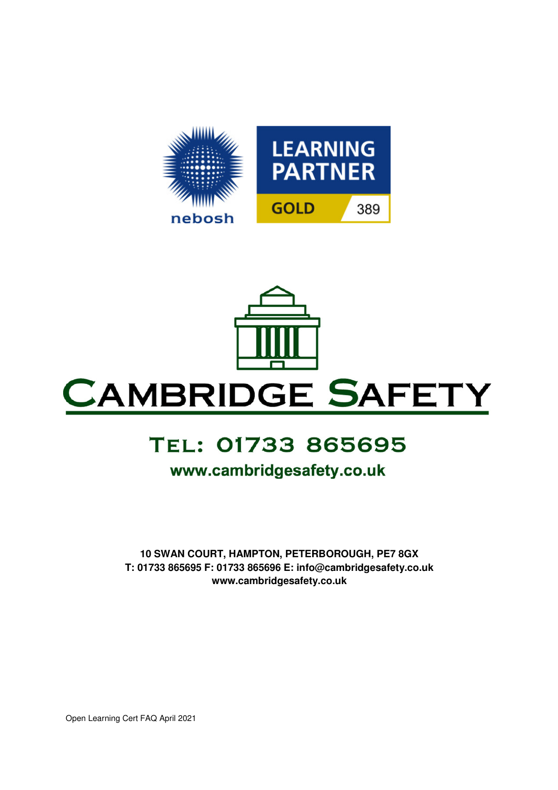



# **CAMBRIDGE SAFETY**

## TEL: 01733 865695

### www.cambridgesafety.co.uk

**10 SWAN COURT, HAMPTON, PETERBOROUGH, PE7 8GX T: 01733 865695 F: 01733 865696 E: info@cambridgesafety.co.uk www.cambridgesafety.co.uk** 

Open Learning Cert FAQ April 2021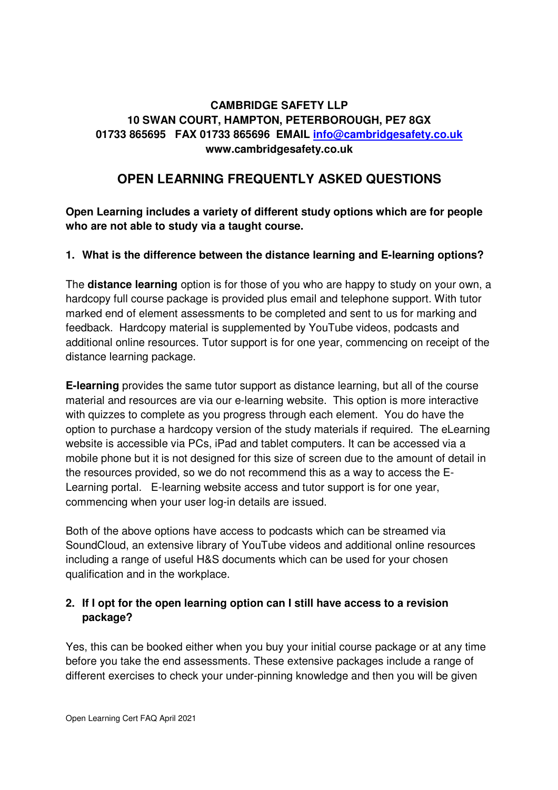#### **CAMBRIDGE SAFETY LLP 10 SWAN COURT, HAMPTON, PETERBOROUGH, PE7 8GX 01733 865695 FAX 01733 865696 EMAIL info@cambridgesafety.co.uk www.cambridgesafety.co.uk**

#### **OPEN LEARNING FREQUENTLY ASKED QUESTIONS**

**Open Learning includes a variety of different study options which are for people who are not able to study via a taught course.** 

#### **1. What is the difference between the distance learning and E-learning options?**

The **distance learning** option is for those of you who are happy to study on your own, a hardcopy full course package is provided plus email and telephone support. With tutor marked end of element assessments to be completed and sent to us for marking and feedback. Hardcopy material is supplemented by YouTube videos, podcasts and additional online resources. Tutor support is for one year, commencing on receipt of the distance learning package.

**E-learning** provides the same tutor support as distance learning, but all of the course material and resources are via our e-learning website. This option is more interactive with quizzes to complete as you progress through each element. You do have the option to purchase a hardcopy version of the study materials if required. The eLearning website is accessible via PCs, iPad and tablet computers. It can be accessed via a mobile phone but it is not designed for this size of screen due to the amount of detail in the resources provided, so we do not recommend this as a way to access the E-Learning portal. E-learning website access and tutor support is for one year, commencing when your user log-in details are issued.

Both of the above options have access to podcasts which can be streamed via SoundCloud, an extensive library of YouTube videos and additional online resources including a range of useful H&S documents which can be used for your chosen qualification and in the workplace.

#### **2. If I opt for the open learning option can I still have access to a revision package?**

Yes, this can be booked either when you buy your initial course package or at any time before you take the end assessments. These extensive packages include a range of different exercises to check your under-pinning knowledge and then you will be given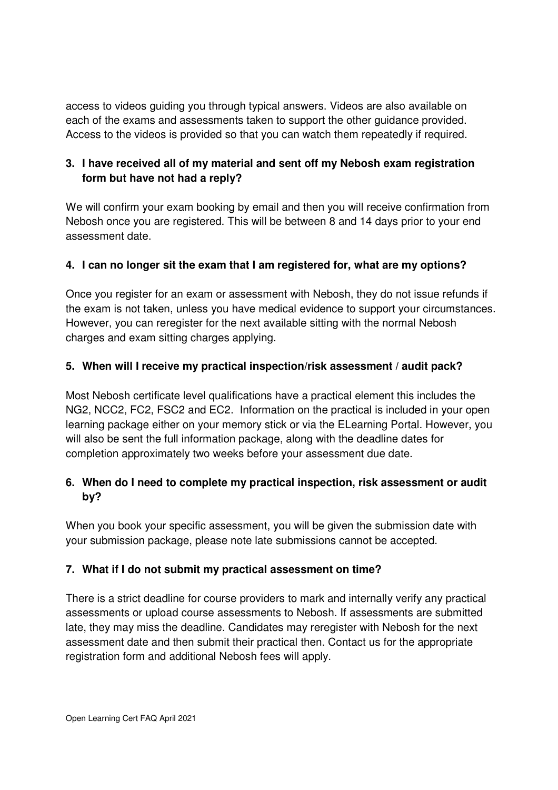access to videos guiding you through typical answers. Videos are also available on each of the exams and assessments taken to support the other guidance provided. Access to the videos is provided so that you can watch them repeatedly if required.

#### **3. I have received all of my material and sent off my Nebosh exam registration form but have not had a reply?**

We will confirm your exam booking by email and then you will receive confirmation from Nebosh once you are registered. This will be between 8 and 14 days prior to your end assessment date.

#### **4. I can no longer sit the exam that I am registered for, what are my options?**

Once you register for an exam or assessment with Nebosh, they do not issue refunds if the exam is not taken, unless you have medical evidence to support your circumstances. However, you can reregister for the next available sitting with the normal Nebosh charges and exam sitting charges applying.

#### **5. When will I receive my practical inspection/risk assessment / audit pack?**

Most Nebosh certificate level qualifications have a practical element this includes the NG2, NCC2, FC2, FSC2 and EC2. Information on the practical is included in your open learning package either on your memory stick or via the ELearning Portal. However, you will also be sent the full information package, along with the deadline dates for completion approximately two weeks before your assessment due date.

#### **6. When do I need to complete my practical inspection, risk assessment or audit by?**

When you book your specific assessment, you will be given the submission date with your submission package, please note late submissions cannot be accepted.

#### **7. What if I do not submit my practical assessment on time?**

There is a strict deadline for course providers to mark and internally verify any practical assessments or upload course assessments to Nebosh. If assessments are submitted late, they may miss the deadline. Candidates may reregister with Nebosh for the next assessment date and then submit their practical then. Contact us for the appropriate registration form and additional Nebosh fees will apply.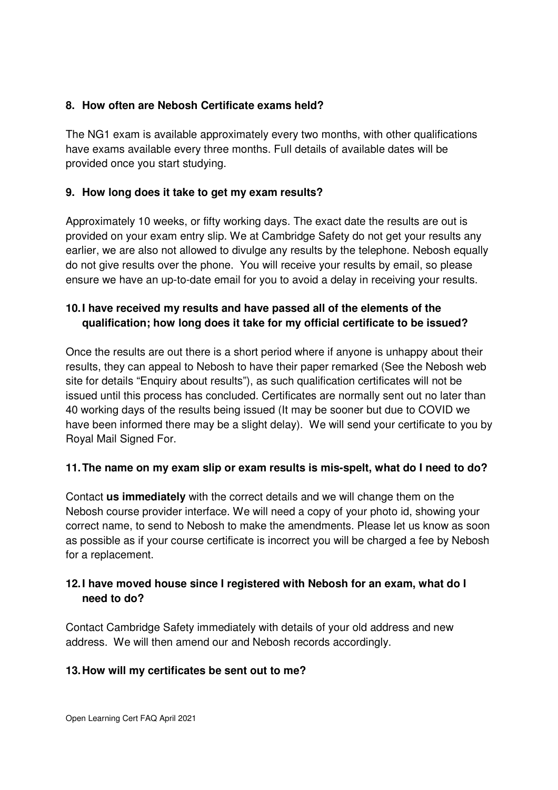#### **8. How often are Nebosh Certificate exams held?**

The NG1 exam is available approximately every two months, with other qualifications have exams available every three months. Full details of available dates will be provided once you start studying.

#### **9. How long does it take to get my exam results?**

Approximately 10 weeks, or fifty working days. The exact date the results are out is provided on your exam entry slip. We at Cambridge Safety do not get your results any earlier, we are also not allowed to divulge any results by the telephone. Nebosh equally do not give results over the phone. You will receive your results by email, so please ensure we have an up-to-date email for you to avoid a delay in receiving your results.

#### **10. I have received my results and have passed all of the elements of the qualification; how long does it take for my official certificate to be issued?**

Once the results are out there is a short period where if anyone is unhappy about their results, they can appeal to Nebosh to have their paper remarked (See the Nebosh web site for details "Enquiry about results"), as such qualification certificates will not be issued until this process has concluded. Certificates are normally sent out no later than 40 working days of the results being issued (It may be sooner but due to COVID we have been informed there may be a slight delay). We will send your certificate to you by Royal Mail Signed For.

#### **11. The name on my exam slip or exam results is mis-spelt, what do I need to do?**

Contact **us immediately** with the correct details and we will change them on the Nebosh course provider interface. We will need a copy of your photo id, showing your correct name, to send to Nebosh to make the amendments. Please let us know as soon as possible as if your course certificate is incorrect you will be charged a fee by Nebosh for a replacement.

#### **12. I have moved house since I registered with Nebosh for an exam, what do I need to do?**

Contact Cambridge Safety immediately with details of your old address and new address. We will then amend our and Nebosh records accordingly.

#### **13. How will my certificates be sent out to me?**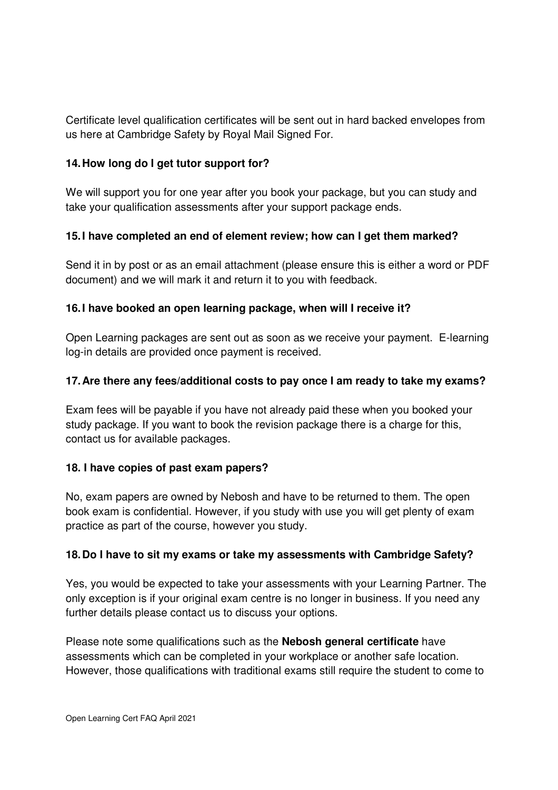Certificate level qualification certificates will be sent out in hard backed envelopes from us here at Cambridge Safety by Royal Mail Signed For.

#### **14. How long do I get tutor support for?**

We will support you for one year after you book your package, but you can study and take your qualification assessments after your support package ends.

#### **15. I have completed an end of element review; how can I get them marked?**

Send it in by post or as an email attachment (please ensure this is either a word or PDF document) and we will mark it and return it to you with feedback.

#### **16. I have booked an open learning package, when will I receive it?**

Open Learning packages are sent out as soon as we receive your payment. E-learning log-in details are provided once payment is received.

#### **17. Are there any fees/additional costs to pay once I am ready to take my exams?**

Exam fees will be payable if you have not already paid these when you booked your study package. If you want to book the revision package there is a charge for this, contact us for available packages.

#### **18. I have copies of past exam papers?**

No, exam papers are owned by Nebosh and have to be returned to them. The open book exam is confidential. However, if you study with use you will get plenty of exam practice as part of the course, however you study.

#### **18. Do I have to sit my exams or take my assessments with Cambridge Safety?**

Yes, you would be expected to take your assessments with your Learning Partner. The only exception is if your original exam centre is no longer in business. If you need any further details please contact us to discuss your options.

Please note some qualifications such as the **Nebosh general certificate** have assessments which can be completed in your workplace or another safe location. However, those qualifications with traditional exams still require the student to come to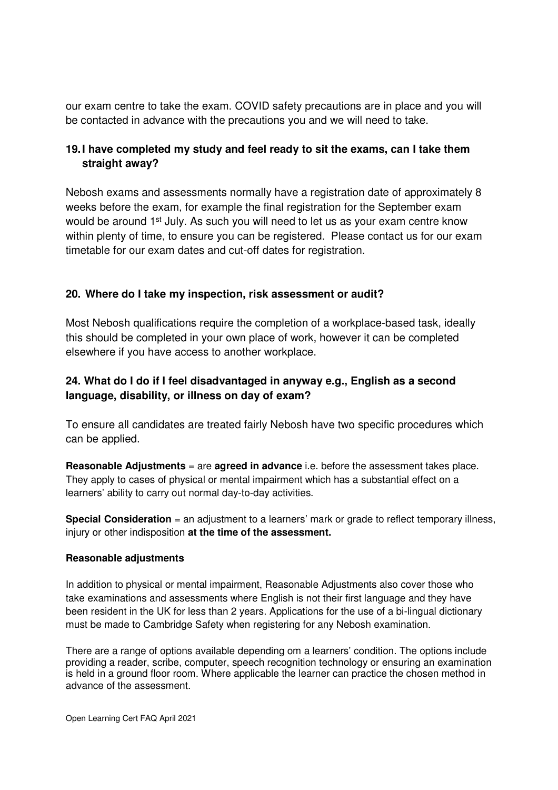our exam centre to take the exam. COVID safety precautions are in place and you will be contacted in advance with the precautions you and we will need to take.

#### **19. I have completed my study and feel ready to sit the exams, can I take them straight away?**

Nebosh exams and assessments normally have a registration date of approximately 8 weeks before the exam, for example the final registration for the September exam would be around 1<sup>st</sup> July. As such you will need to let us as your exam centre know within plenty of time, to ensure you can be registered. Please contact us for our exam timetable for our exam dates and cut-off dates for registration.

#### **20. Where do I take my inspection, risk assessment or audit?**

Most Nebosh qualifications require the completion of a workplace-based task, ideally this should be completed in your own place of work, however it can be completed elsewhere if you have access to another workplace.

#### **24. What do I do if I feel disadvantaged in anyway e.g., English as a second language, disability, or illness on day of exam?**

To ensure all candidates are treated fairly Nebosh have two specific procedures which can be applied.

**Reasonable Adjustments** = are **agreed in advance** i.e. before the assessment takes place. They apply to cases of physical or mental impairment which has a substantial effect on a learners' ability to carry out normal day-to-day activities.

**Special Consideration** = an adjustment to a learners' mark or grade to reflect temporary illness, injury or other indisposition **at the time of the assessment.** 

#### **Reasonable adjustments**

In addition to physical or mental impairment, Reasonable Adjustments also cover those who take examinations and assessments where English is not their first language and they have been resident in the UK for less than 2 years. Applications for the use of a bi-lingual dictionary must be made to Cambridge Safety when registering for any Nebosh examination.

There are a range of options available depending om a learners' condition. The options include providing a reader, scribe, computer, speech recognition technology or ensuring an examination is held in a ground floor room. Where applicable the learner can practice the chosen method in advance of the assessment.